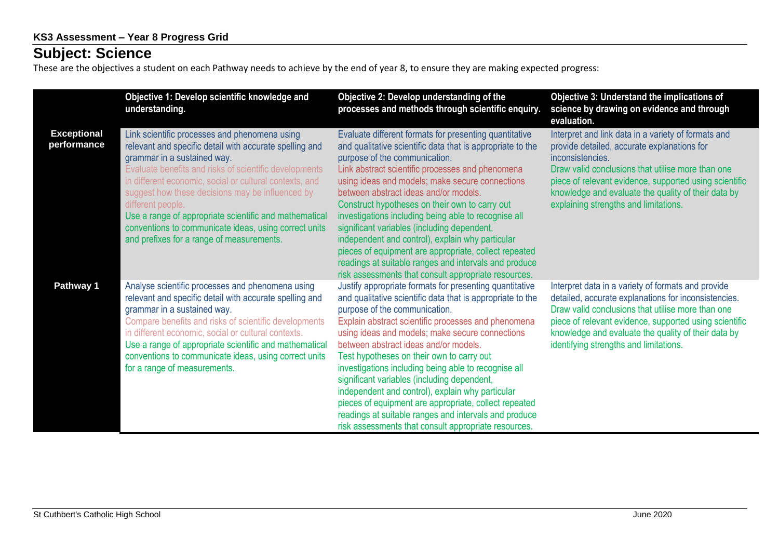## **Subject: Science**

These are the objectives a student on each Pathway needs to achieve by the end of year 8, to ensure they are making expected progress:

|                                   | Objective 1: Develop scientific knowledge and<br>understanding.                                                                                                                                                                                                                                                                                                                                                                                                                                       | Objective 2: Develop understanding of the<br>processes and methods through scientific enquiry.                                                                                                                                                                                                                                                                                                                                                                                                                                                                                                                                                                                               | Objective 3: Understand the implications of<br>science by drawing on evidence and through<br>evaluation.                                                                                                                                                                                                                              |
|-----------------------------------|-------------------------------------------------------------------------------------------------------------------------------------------------------------------------------------------------------------------------------------------------------------------------------------------------------------------------------------------------------------------------------------------------------------------------------------------------------------------------------------------------------|----------------------------------------------------------------------------------------------------------------------------------------------------------------------------------------------------------------------------------------------------------------------------------------------------------------------------------------------------------------------------------------------------------------------------------------------------------------------------------------------------------------------------------------------------------------------------------------------------------------------------------------------------------------------------------------------|---------------------------------------------------------------------------------------------------------------------------------------------------------------------------------------------------------------------------------------------------------------------------------------------------------------------------------------|
| <b>Exceptional</b><br>performance | Link scientific processes and phenomena using<br>relevant and specific detail with accurate spelling and<br>grammar in a sustained way.<br>Evaluate benefits and risks of scientific developments<br>in different economic, social or cultural contexts, and<br>suggest how these decisions may be influenced by<br>different people.<br>Use a range of appropriate scientific and mathematical<br>conventions to communicate ideas, using correct units<br>and prefixes for a range of measurements. | Evaluate different formats for presenting quantitative<br>and qualitative scientific data that is appropriate to the<br>purpose of the communication.<br>Link abstract scientific processes and phenomena<br>using ideas and models; make secure connections<br>between abstract ideas and/or models.<br>Construct hypotheses on their own to carry out<br>investigations including being able to recognise all<br>significant variables (including dependent,<br>independent and control), explain why particular<br>pieces of equipment are appropriate, collect repeated<br>readings at suitable ranges and intervals and produce<br>risk assessments that consult appropriate resources. | Interpret and link data in a variety of formats and<br>provide detailed, accurate explanations for<br>inconsistencies.<br>Draw valid conclusions that utilise more than one<br>piece of relevant evidence, supported using scientific<br>knowledge and evaluate the quality of their data by<br>explaining strengths and limitations. |
| Pathway 1                         | Analyse scientific processes and phenomena using<br>relevant and specific detail with accurate spelling and<br>grammar in a sustained way.<br>Compare benefits and risks of scientific developments<br>in different economic, social or cultural contexts.<br>Use a range of appropriate scientific and mathematical<br>conventions to communicate ideas, using correct units<br>for a range of measurements.                                                                                         | Justify appropriate formats for presenting quantitative<br>and qualitative scientific data that is appropriate to the<br>purpose of the communication.<br>Explain abstract scientific processes and phenomena<br>using ideas and models; make secure connections<br>between abstract ideas and/or models.<br>Test hypotheses on their own to carry out<br>investigations including being able to recognise all<br>significant variables (including dependent,<br>independent and control), explain why particular<br>pieces of equipment are appropriate, collect repeated<br>readings at suitable ranges and intervals and produce<br>risk assessments that consult appropriate resources.  | Interpret data in a variety of formats and provide<br>detailed, accurate explanations for inconsistencies.<br>Draw valid conclusions that utilise more than one<br>piece of relevant evidence, supported using scientific<br>knowledge and evaluate the quality of their data by<br>identifying strengths and limitations.            |